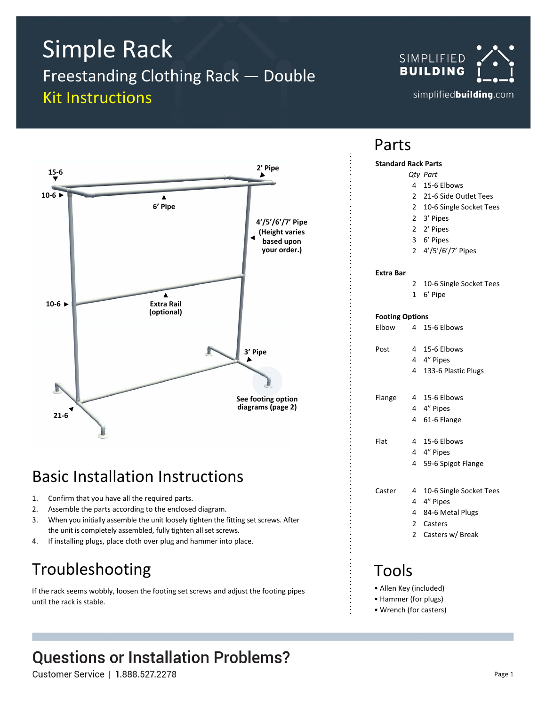# Simple Rack

Freestanding Clothing Rack — Double Kit Instructions





### Basic Installation Instructions

- 1. Confirm that you have all the required parts.
- 2. Assemble the parts according to the enclosed diagram.
- 3. When you initially assemble the unit loosely tighten the fitting set screws. After the unit is completely assembled, fully tighten all set screws.
- 4. If installing plugs, place cloth over plug and hammer into place.

### Troubleshooting

If the rack seems wobbly, loosen the footing set screws and adjust the footing pipes until the rack is stable.

### **Questions or Installation Problems?**

Customer Service | 1.888.527.2278

### Parts

#### **Standard Rack Parts**

- *Qty Part*
- 4 15-6 Elbows
- 2 21-6 Side Outlet Tees
- 2 10-6 Single Socket Tees
- 2 3' Pipes
- 2 2' Pipes
- 3 6' Pipes
- 2 4'/5'/6'/7' Pipes

#### **Extra Bar**

- 2 10-6 Single Socket Tees
- 1 6' Pipe

#### **Footing Options**

| Elbow  |        | 4 15-6 Elbows                                    |
|--------|--------|--------------------------------------------------|
| Post   | 4<br>4 | 15-6 Elbows<br>4 4" Pipes<br>133-6 Plastic Plugs |
| Flange | 4<br>4 | 15-6 Elbows<br>4 4" Pipes<br>61-6 Flange         |

Flat 4 15-6 Elbows

- 4 4" Pipes
	- 4 59-6 Spigot Flange

Caster 4 10-6 Single Socket Tees

- 4 4" Pipes
- 4 84-6 Metal Plugs
- 2 Casters
- 2 Casters w/ Break

### Tools

- Allen Key (included)
- Hammer (for plugs)
- Wrench (for casters)